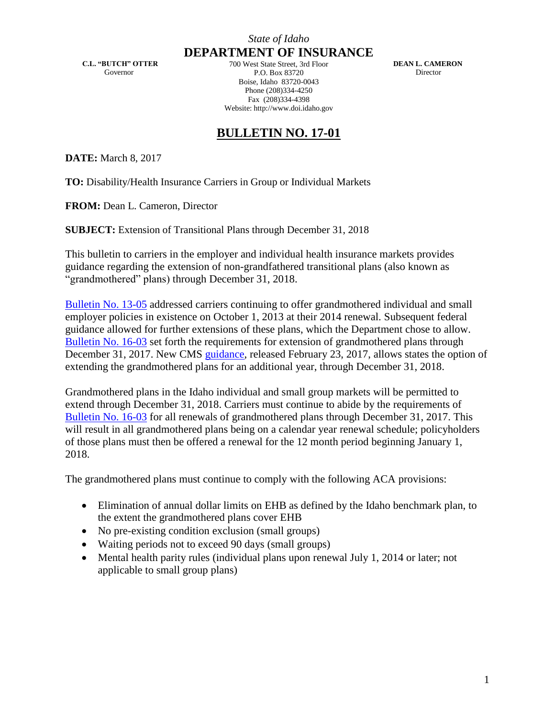**C.L. "BUTCH" OTTER** Governor

**DEPARTMENT OF INSURANCE** 700 West State Street, 3rd Floor P.O. Box 83720 Boise, Idaho 83720-0043 Phone (208)334-4250 Fax (208)334-4398 Website: http://www.doi.idaho.gov

**DEAN L. CAMERON** Director

## **BULLETIN NO. 17-01**

**DATE:** March 8, 2017

**TO:** Disability/Health Insurance Carriers in Group or Individual Markets

**FROM:** Dean L. Cameron, Director

**SUBJECT:** Extension of Transitional Plans through December 31, 2018

This bulletin to carriers in the employer and individual health insurance markets provides guidance regarding the extension of non-grandfathered transitional plans (also known as "grandmothered" plans) through December 31, 2018.

[Bulletin No. 13-05](http://www.doi.idaho.gov/DisplayPDF2.aspx?Id=2036) addressed carriers continuing to offer grandmothered individual and small employer policies in existence on October 1, 2013 at their 2014 renewal. Subsequent federal guidance allowed for further extensions of these plans, which the Department chose to allow. [Bulletin No. 16-03](http://www.doi.idaho.gov/DisplayPDF2.aspx?Id=2050) set forth the requirements for extension of grandmothered plans through December 31, 2017. New CMS [guidance,](https://www.cms.gov/CCIIO/Resources/Regulations-and-Guidance/Downloads/Extension-Transitional-Policy-CY2018.pdf) released February 23, 2017, allows states the option of extending the grandmothered plans for an additional year, through December 31, 2018.

Grandmothered plans in the Idaho individual and small group markets will be permitted to extend through December 31, 2018. Carriers must continue to abide by the requirements of [Bulletin No. 16-03](http://www.doi.idaho.gov/DisplayPDF2.aspx?Id=2050) for all renewals of grandmothered plans through December 31, 2017. This will result in all grandmothered plans being on a calendar year renewal schedule; policyholders of those plans must then be offered a renewal for the 12 month period beginning January 1, 2018.

The grandmothered plans must continue to comply with the following ACA provisions:

- Elimination of annual dollar limits on EHB as defined by the Idaho benchmark plan, to the extent the grandmothered plans cover EHB
- No pre-existing condition exclusion (small groups)
- Waiting periods not to exceed 90 days (small groups)
- Mental health parity rules (individual plans upon renewal July 1, 2014 or later; not applicable to small group plans)